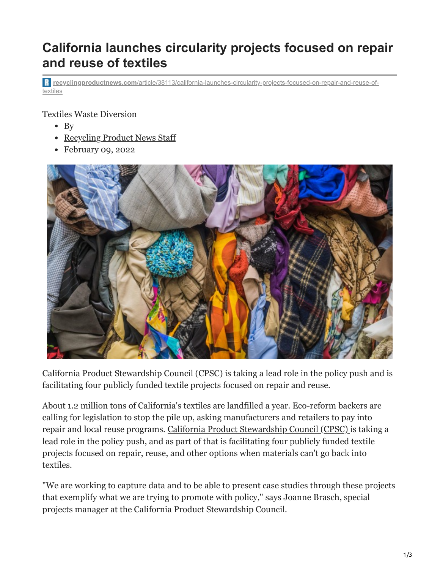## **California launches circularity projects focused on repair and reuse of textiles**

**recyclingproductnews.com**[/article/38113/california-launches-circularity-projects-focused-on-repair-and-reuse-of](https://www.recyclingproductnews.com/article/38113/california-launches-circularity-projects-focused-on-repair-and-reuse-of-textiles)textiles

## [Textiles](https://www.recyclingproductnews.com/article/topic/textiles-71) [Waste Diversion](https://www.recyclingproductnews.com/article/topic/waste-diversion-34)

- $\bullet$  By
- [Recycling Product News Staff](https://www.recyclingproductnews.com/author/recycling-product-news-staff-454)
- February 09, 2022



California Product Stewardship Council (CPSC) is taking a lead role in the policy push and is facilitating four publicly funded textile projects focused on repair and reuse.

About 1.2 million tons of California's textiles are landfilled a year. Eco-reform backers are calling for legislation to stop the pile up, asking manufacturers and retailers to pay into repair and local reuse programs. [California Product Stewardship Council \(CPSC\) i](https://www.recyclingproductnews.com/company/6648/california-product-stewardship-council-cpsc)s taking a lead role in the policy push, and as part of that is facilitating four publicly funded textile projects focused on repair, reuse, and other options when materials can't go back into textiles.

"We are working to capture data and to be able to present case studies through these projects that exemplify what we are trying to promote with policy," says Joanne Brasch, special projects manager at the California Product Stewardship Council.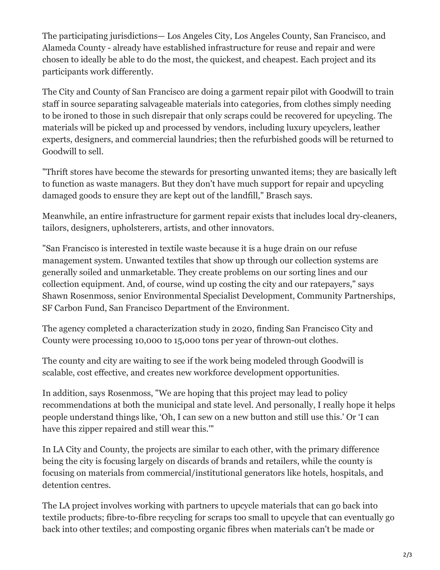The participating jurisdictions— Los Angeles City, Los Angeles County, San Francisco, and Alameda County - already have established infrastructure for reuse and repair and were chosen to ideally be able to do the most, the quickest, and cheapest. Each project and its participants work differently.

The City and County of San Francisco are doing a garment repair pilot with Goodwill to train staff in source separating salvageable materials into categories, from clothes simply needing to be ironed to those in such disrepair that only scraps could be recovered for upcycling. The materials will be picked up and processed by vendors, including luxury upcyclers, leather experts, designers, and commercial laundries; then the refurbished goods will be returned to Goodwill to sell.

"Thrift stores have become the stewards for presorting unwanted items; they are basically left to function as waste managers. But they don't have much support for repair and upcycling damaged goods to ensure they are kept out of the landfill," Brasch says.

Meanwhile, an entire infrastructure for garment repair exists that includes local dry-cleaners, tailors, designers, upholsterers, artists, and other innovators.

"San Francisco is interested in textile waste because it is a huge drain on our refuse management system. Unwanted textiles that show up through our collection systems are generally soiled and unmarketable. They create problems on our sorting lines and our collection equipment. And, of course, wind up costing the city and our ratepayers," says Shawn Rosenmoss, senior Environmental Specialist Development, Community Partnerships, SF Carbon Fund, San Francisco Department of the Environment.

The agency completed a characterization study in 2020, finding San Francisco City and County were processing 10,000 to 15,000 tons per year of thrown-out clothes.

The county and city are waiting to see if the work being modeled through Goodwill is scalable, cost effective, and creates new workforce development opportunities.

In addition, says Rosenmoss, "We are hoping that this project may lead to policy recommendations at both the municipal and state level. And personally, I really hope it helps people understand things like, 'Oh, I can sew on a new button and still use this.' Or 'I can have this zipper repaired and still wear this.'"

In LA City and County, the projects are similar to each other, with the primary difference being the city is focusing largely on discards of brands and retailers, while the county is focusing on materials from commercial/institutional generators like hotels, hospitals, and detention centres.

The LA project involves working with partners to upcycle materials that can go back into textile products; fibre-to-fibre recycling for scraps too small to upcycle that can eventually go back into other textiles; and composting organic fibres when materials can't be made or